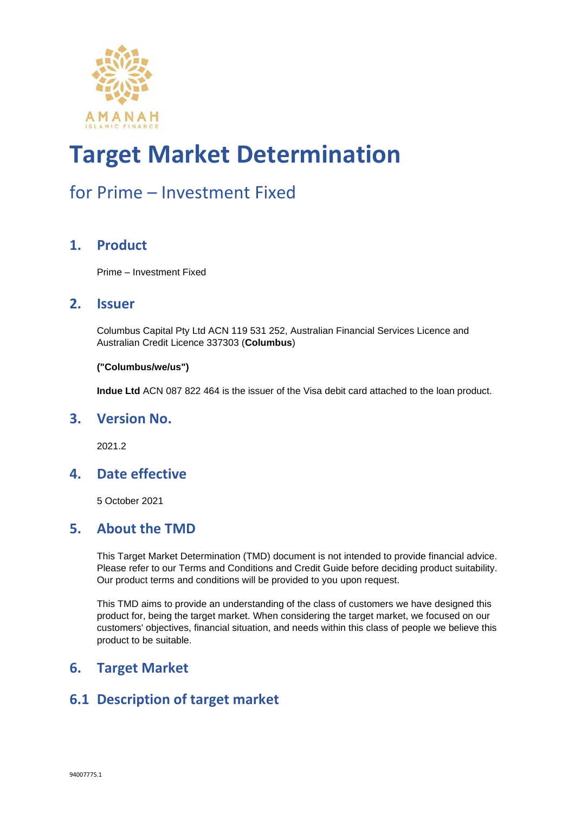

### for Prime – Investment Fixed

#### **1. Product**

Prime – Investment Fixed

#### **2. Issuer**

Columbus Capital Pty Ltd ACN 119 531 252, Australian Financial Services Licence and Australian Credit Licence 337303 (**Columbus**)

#### **("Columbus/we/us")**

**Indue Ltd** ACN 087 822 464 is the issuer of the Visa debit card attached to the loan product.

#### **3. Version No.**

2021.2

#### **4. Date effective**

5 October 2021

#### **5. About the TMD**

This Target Market Determination (TMD) document is not intended to provide financial advice. Please refer to our Terms and Conditions and Credit Guide before deciding product suitability. Our product terms and conditions will be provided to you upon request.

This TMD aims to provide an understanding of the class of customers we have designed this product for, being the target market. When considering the target market, we focused on our customers' objectives, financial situation, and needs within this class of people we believe this product to be suitable.

#### **6. Target Market**

#### **6.1 Description of target market**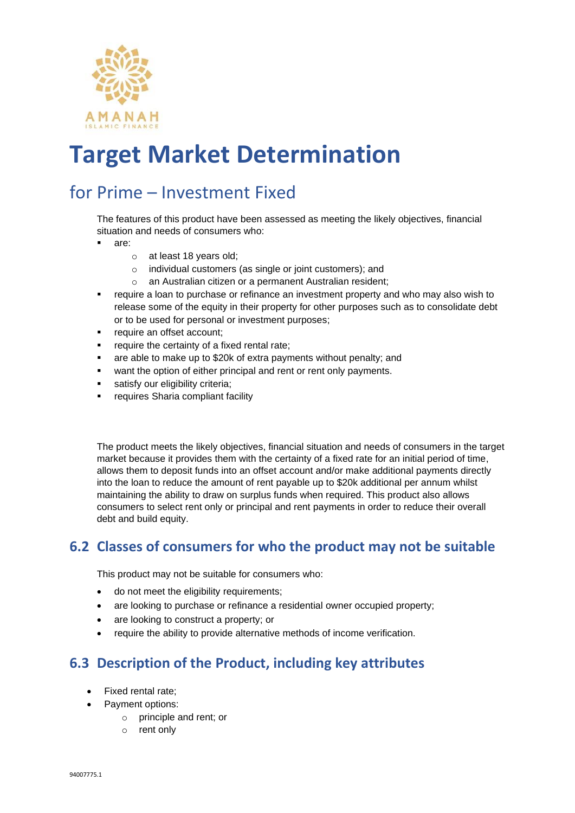

### for Prime – Investment Fixed

The features of this product have been assessed as meeting the likely objectives, financial situation and needs of consumers who:

- are:
	- o at least 18 years old;
	- o individual customers (as single or joint customers); and
	- o an Australian citizen or a permanent Australian resident;
- require a loan to purchase or refinance an investment property and who may also wish to release some of the equity in their property for other purposes such as to consolidate debt or to be used for personal or investment purposes;
- require an offset account;
- require the certainty of a fixed rental rate;
- are able to make up to \$20k of extra payments without penalty; and
- want the option of either principal and rent or rent only payments.
- satisfy our eligibility criteria;
- requires Sharia compliant facility

The product meets the likely objectives, financial situation and needs of consumers in the target market because it provides them with the certainty of a fixed rate for an initial period of time, allows them to deposit funds into an offset account and/or make additional payments directly into the loan to reduce the amount of rent payable up to \$20k additional per annum whilst maintaining the ability to draw on surplus funds when required. This product also allows consumers to select rent only or principal and rent payments in order to reduce their overall debt and build equity.

#### **6.2 Classes of consumers for who the product may not be suitable**

This product may not be suitable for consumers who:

- do not meet the eligibility requirements;
- are looking to purchase or refinance a residential owner occupied property;
- are looking to construct a property; or
- require the ability to provide alternative methods of income verification.

#### **6.3 Description of the Product, including key attributes**

- Fixed rental rate;
	- Payment options:
		- o principle and rent; or
		- o rent only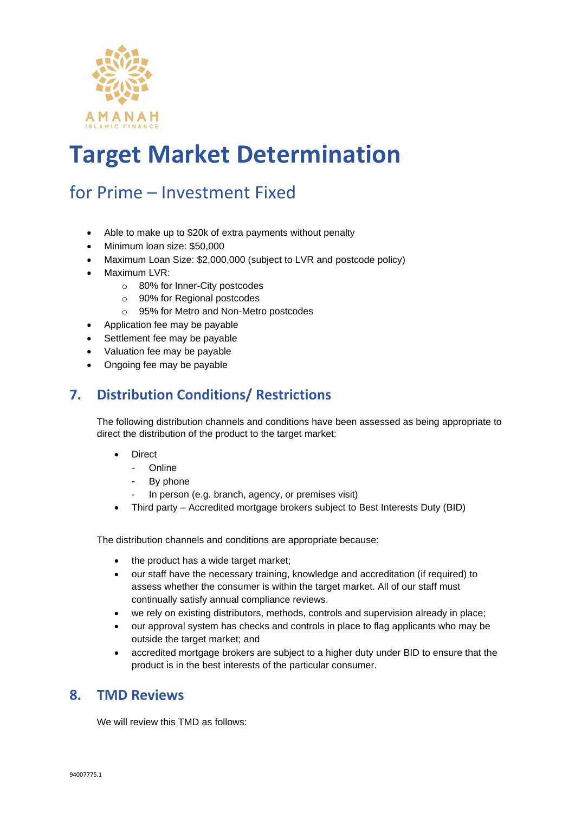

### for Prime – Investment Fixed

- Able to make up to \$20k of extra payments without penalty
- Minimum loan size: \$50,000
- Maximum Loan Size: \$2,000,000 (subject to LVR and postcode policy)
- Maximum LVR:
	- o 80% for Inner-City postcodes
	- o 90% for Regional postcodes
	- o 95% for Metro and Non-Metro postcodes
- Application fee may be payable
- Settlement fee may be payable
- Valuation fee may be payable
- Ongoing fee may be payable

#### **7. Distribution Conditions/ Restrictions**

The following distribution channels and conditions have been assessed as being appropriate to direct the distribution of the product to the target market:

- Direct
	- Online
	- By phone
	- In person (e.g. branch, agency, or premises visit)
- Third party Accredited mortgage brokers subject to Best Interests Duty (BID)

The distribution channels and conditions are appropriate because:

- the product has a wide target market;
- our staff have the necessary training, knowledge and accreditation (if required) to assess whether the consumer is within the target market. All of our staff must continually satisfy annual compliance reviews.
- we rely on existing distributors, methods, controls and supervision already in place;
- our approval system has checks and controls in place to flag applicants who may be outside the target market; and
- accredited mortgage brokers are subject to a higher duty under BID to ensure that the product is in the best interests of the particular consumer.

#### **8. TMD Reviews**

We will review this TMD as follows: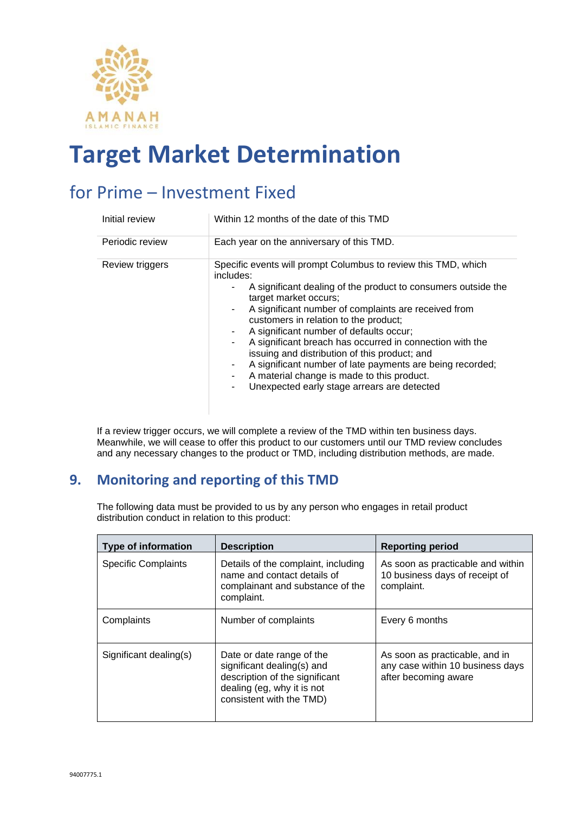

### for Prime – Investment Fixed

| Initial review  | Within 12 months of the date of this TMD                                                                                                                                                                                                                                                                                                                                                                                                                                                                                                                                                            |
|-----------------|-----------------------------------------------------------------------------------------------------------------------------------------------------------------------------------------------------------------------------------------------------------------------------------------------------------------------------------------------------------------------------------------------------------------------------------------------------------------------------------------------------------------------------------------------------------------------------------------------------|
| Periodic review | Each year on the anniversary of this TMD.                                                                                                                                                                                                                                                                                                                                                                                                                                                                                                                                                           |
| Review triggers | Specific events will prompt Columbus to review this TMD, which<br>includes:<br>A significant dealing of the product to consumers outside the<br>target market occurs;<br>A significant number of complaints are received from<br>customers in relation to the product;<br>A significant number of defaults occur;<br>A significant breach has occurred in connection with the<br>۰.<br>issuing and distribution of this product; and<br>A significant number of late payments are being recorded;<br>A material change is made to this product.<br>Unexpected early stage arrears are detected<br>۰ |

If a review trigger occurs, we will complete a review of the TMD within ten business days. Meanwhile, we will cease to offer this product to our customers until our TMD review concludes and any necessary changes to the product or TMD, including distribution methods, are made.

#### **9. Monitoring and reporting of this TMD**

The following data must be provided to us by any person who engages in retail product distribution conduct in relation to this product:

| <b>Type of information</b> | <b>Description</b>                                                                                                                                  | <b>Reporting period</b>                                                                    |
|----------------------------|-----------------------------------------------------------------------------------------------------------------------------------------------------|--------------------------------------------------------------------------------------------|
| <b>Specific Complaints</b> | Details of the complaint, including<br>name and contact details of<br>complainant and substance of the<br>complaint.                                | As soon as practicable and within<br>10 business days of receipt of<br>complaint.          |
| Complaints                 | Number of complaints                                                                                                                                | Every 6 months                                                                             |
| Significant dealing(s)     | Date or date range of the<br>significant dealing(s) and<br>description of the significant<br>dealing (eg, why it is not<br>consistent with the TMD) | As soon as practicable, and in<br>any case within 10 business days<br>after becoming aware |